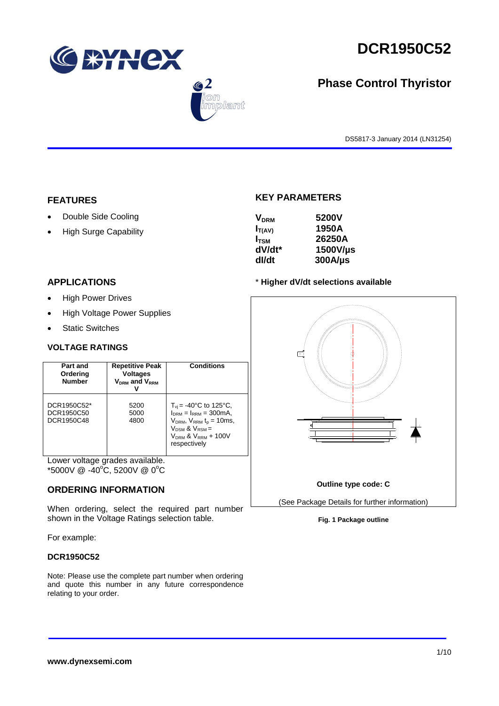





# **Phase Control Thyristor**

DS5817-3 January 2014 (LN31254)

## **FEATURES**

- Double Side Cooling
- High Surge Capability

#### **APPLICATIONS**

- High Power Drives
- High Voltage Power Supplies
- Static Switches

#### **VOLTAGE RATINGS**

| Part and<br>Ordering<br><b>Number</b>   | <b>Repetitive Peak</b><br><b>Voltages</b><br>$V_{DRM}$ and $V_{RRM}$<br>v | <b>Conditions</b>                                                                                                                                                                                |
|-----------------------------------------|---------------------------------------------------------------------------|--------------------------------------------------------------------------------------------------------------------------------------------------------------------------------------------------|
| DCR1950C52*<br>DCR1950C50<br>DCR1950C48 | 5200<br>5000<br>4800                                                      | $T_{\rm vi}$ = -40°C to 125°C,<br>$I_{DRM} = I_{RRM} = 300 \text{mA}$<br>$V_{DRM}$ , $V_{RRM}$ t <sub>p</sub> = 10ms,<br>$V_{DSM}$ & $V_{RSM}$ =<br>$V_{DRM}$ & $V_{RRM}$ + 100V<br>respectively |

Lower voltage grades available.  $*5000V \ @ \ -40^{\circ}\text{C}, 5200V \ @ \ 0^{\circ}\text{C}$ 

#### **ORDERING INFORMATION**

When ordering, select the required part number shown in the Voltage Ratings selection table.

For example:

#### **DCR1950C52**

Note: Please use the complete part number when ordering and quote this number in any future correspondence relating to your order.

## **KEY PARAMETERS**

| <b>V<sub>DRM</sub></b> | 5200V        |
|------------------------|--------------|
| $I_{T(AV)}$            | 1950A        |
| $I_{\text{TSM}}$       | 26250A       |
| dV/dt*                 | 1500V/µs     |
| dl/dt                  | $300A/\mu s$ |

#### \* **Higher dV/dt selections available**

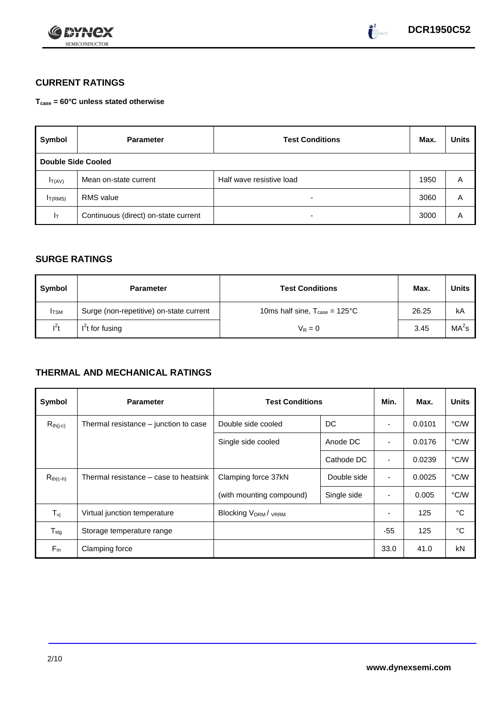



## **CURRENT RATINGS**

**Tcase = 60°C unless stated otherwise**

| Symbol              | <b>Parameter</b>                     | <b>Test Conditions</b>   |      | <b>Units</b> |
|---------------------|--------------------------------------|--------------------------|------|--------------|
| Double Side Cooled  |                                      |                          |      |              |
| $I_{T(AV)}$         | Mean on-state current                | Half wave resistive load | 1950 | A            |
| I <sub>T(RMS)</sub> | <b>RMS</b> value                     | -                        | 3060 | Α            |
| Iτ                  | Continuous (direct) on-state current | $\overline{\phantom{0}}$ | 3000 | Α            |

## **SURGE RATINGS**

| Symbol       | <b>Parameter</b>                        | <b>Test Conditions</b>                           | Max.  | Units             |
|--------------|-----------------------------------------|--------------------------------------------------|-------|-------------------|
| <b>I</b> TSM | Surge (non-repetitive) on-state current | 10ms half sine, $T_{\text{case}} = 125^{\circ}C$ | 26.25 | kA                |
| $l^2t$       | $I2t$ for fusing                        | $V_R = 0$                                        | 3.45  | MA <sup>2</sup> s |

## **THERMAL AND MECHANICAL RATINGS**

| Symbol                         | <b>Parameter</b>                      | <b>Test Conditions</b>                      |             | Min.           | Max.   | <b>Units</b> |
|--------------------------------|---------------------------------------|---------------------------------------------|-------------|----------------|--------|--------------|
| $R_{th(j-c)}$                  | Thermal resistance – junction to case | Double side cooled                          | DC          |                | 0.0101 | °C/W         |
|                                |                                       | Single side cooled                          | Anode DC    | ٠              | 0.0176 | °C/W         |
|                                |                                       |                                             | Cathode DC  | $\blacksquare$ | 0.0239 | °C/W         |
| $R_{th(c-h)}$                  | Thermal resistance – case to heatsink | Clamping force 37kN                         | Double side | ٠              | 0.0025 | °C/W         |
|                                |                                       | (with mounting compound)                    | Single side |                | 0.005  | °C/W         |
| $T_{\rm\scriptscriptstyle VI}$ | Virtual junction temperature          | Blocking V <sub>DRM</sub> / <sub>VRRM</sub> |             |                | 125    | °C           |
| $T_{\text{stg}}$               | Storage temperature range             |                                             |             | $-55$          | 125    | °C           |
| $F_m$                          | Clamping force                        |                                             |             | 33.0           | 41.0   | kN           |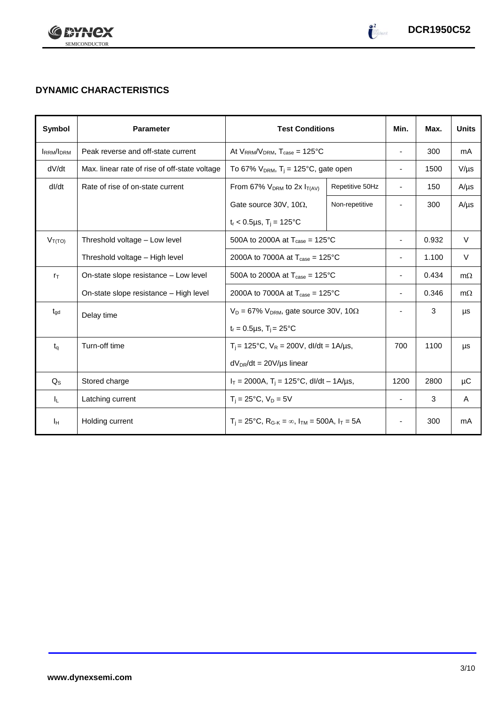

# **DYNAMIC CHARACTERISTICS**

| <b>Symbol</b>    | <b>Parameter</b>                              | <b>Test Conditions</b>                                                                          |                 | Min.                     | Max.  | <b>Units</b> |
|------------------|-----------------------------------------------|-------------------------------------------------------------------------------------------------|-----------------|--------------------------|-------|--------------|
| <b>IRRM/IDRM</b> | Peak reverse and off-state current            | At $V_{RRM}/V_{DRM}$ , $T_{case} = 125^{\circ}C$                                                |                 | $\overline{\phantom{a}}$ | 300   | mA           |
| dV/dt            | Max. linear rate of rise of off-state voltage | To 67% $V_{DRM}$ , T <sub>i</sub> = 125°C, gate open                                            |                 | $\overline{\phantom{a}}$ | 1500  | $V/\mu s$    |
| dl/dt            | Rate of rise of on-state current              | From 67% $V_{DRM}$ to 2x $I_{T(AV)}$                                                            | Repetitive 50Hz | $\overline{\phantom{a}}$ | 150   | $A/\mu s$    |
|                  |                                               | Gate source 30V, 10 $\Omega$ ,                                                                  | Non-repetitive  |                          | 300   | $A/\mu s$    |
|                  |                                               | $t_r$ < 0.5µs, T <sub>i</sub> = 125°C                                                           |                 |                          |       |              |
| $V_{T(TO)}$      | Threshold voltage - Low level                 | 500A to 2000A at $T_{\text{case}} = 125^{\circ}$ C                                              |                 | $\overline{\phantom{a}}$ | 0.932 | $\vee$       |
|                  | Threshold voltage - High level                | 2000A to 7000A at $T_{\text{case}} = 125^{\circ}C$                                              |                 |                          | 1.100 | V            |
| $r_{\text{T}}$   | On-state slope resistance - Low level         | 500A to 2000A at $T_{\text{case}} = 125^{\circ}$ C                                              |                 | $\overline{\phantom{a}}$ | 0.434 | $m\Omega$    |
|                  | On-state slope resistance – High level        | 2000A to 7000A at $T_{\text{case}} = 125^{\circ}C$                                              |                 | $\overline{\phantom{a}}$ | 0.346 | $m\Omega$    |
| $t_{\rm gd}$     | Delay time                                    | $V_D = 67\% V_{DRM}$ , gate source 30V, 10 $\Omega$                                             |                 |                          | 3     | μs           |
|                  |                                               | $t_r = 0.5 \mu s$ , $T_i = 25^{\circ}C$                                                         |                 |                          |       |              |
| $t_q$            | Turn-off time                                 | $T_i$ = 125°C, $V_R$ = 200V, dl/dt = 1A/µs,                                                     |                 | 700                      | 1100  | μs           |
|                  |                                               | $dV_{DR}/dt = 20V/\mu s$ linear                                                                 |                 |                          |       |              |
| $Q_S$            | Stored charge                                 | $I_T = 2000A$ , $T_i = 125^{\circ}C$ , dl/dt – 1A/µs,                                           |                 | 1200                     | 2800  | μC           |
| IL.              | Latching current                              | $T_i = 25^{\circ}C$ , $V_D = 5V$                                                                |                 | $\overline{\phantom{a}}$ | 3     | A            |
| Iн               | Holding current                               | $T_i = 25^{\circ}C$ , R <sub>G-K</sub> = $\infty$ , I <sub>TM</sub> = 500A, I <sub>T</sub> = 5A |                 | $\overline{\phantom{a}}$ | 300   | mA           |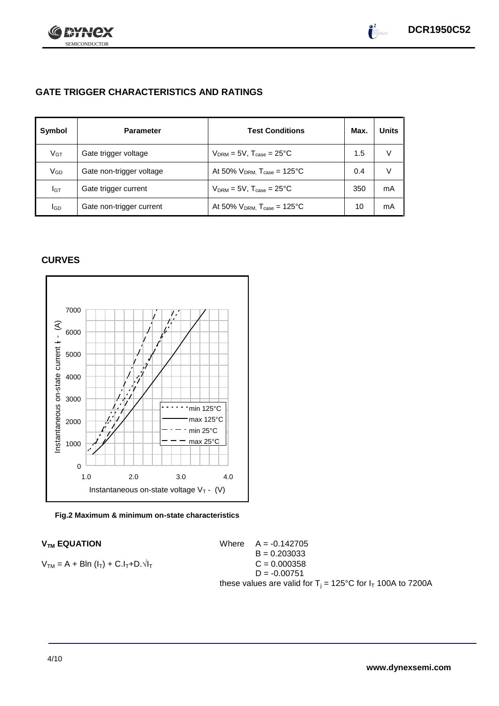

## **GATE TRIGGER CHARACTERISTICS AND RATINGS**

| Symbol          | <b>Parameter</b>         | <b>Test Conditions</b>                       | Max. | <b>Units</b> |
|-----------------|--------------------------|----------------------------------------------|------|--------------|
| V <sub>GT</sub> | Gate trigger voltage     | $V_{DRM} = 5V$ , $T_{case} = 25^{\circ}C$    | 1.5  | V            |
| VGD             | Gate non-trigger voltage | At 50% $V_{DRM}$ , $T_{case} = 125^{\circ}C$ | 0.4  | V            |
| IGТ             | Gate trigger current     | $V_{DRM}$ = 5V, $T_{case}$ = 25°C            | 350  | mA           |
| lgd             | Gate non-trigger current | At 50% $V_{DRM}$ , $T_{case} = 125$ °C       | 10   | mA           |

## **CURVES**



#### **Fig.2 Maximum & minimum on-state characteristics**

 $V_{TM}$  **EQUATION** Where  $A = -0.142705$  $B = 0.203033$  $C = 0.000358$  $D = -0.00751$ these values are valid for  $T_i = 125^{\circ}C$  for  $I_T$  100A to 7200A

$$
V_{TM} = A + BIn (I_T) + C.I_T + D.\sqrt{I_T}
$$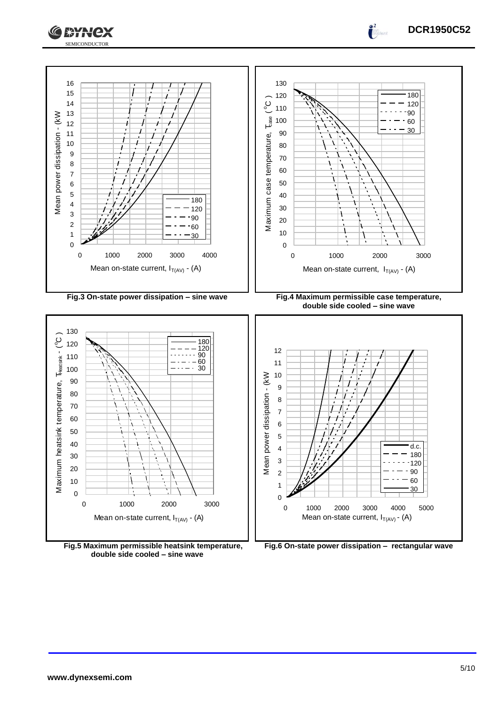



**Fig.5 Maximum permissible heatsink temperature, double side cooled – sine wave**

**Fig.6 On-state power dissipation – rectangular wave**

**DCR1950C52**

 $\int_0^2$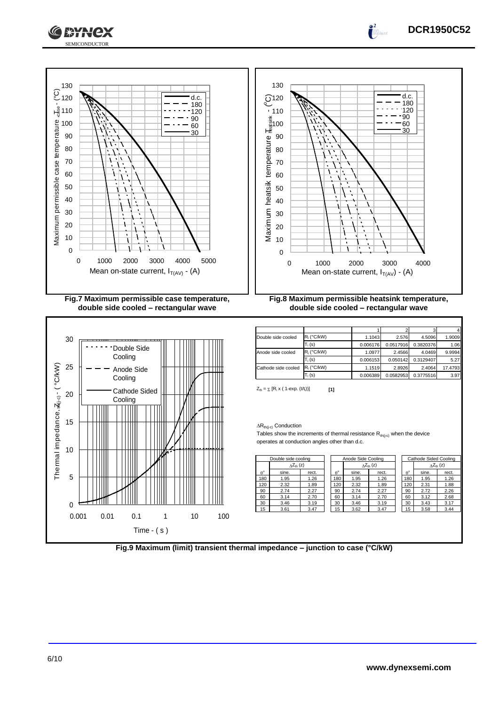









 $Z_{\text{th}} = \sum [R_i \times (1 - \exp. (t/t_i))]$  [1]

#### $\Delta R_{th(j-c)}$  Conduction

Tables show the increments of thermal resistance  $R_{th(j-c)}$  when the device operates at conduction angles other than d.c.

| Double side cooling |                     |       | Anode Side Cooling |  |       | Cathode Sided Cooling     |  |             |       |                            |
|---------------------|---------------------|-------|--------------------|--|-------|---------------------------|--|-------------|-------|----------------------------|
|                     | $\Delta Z_{th}$ (z) |       |                    |  |       | $\Delta Z_{\text{th}}(z)$ |  |             |       | $\Delta Z_{\text{th}}$ (z) |
| $A^{\circ}$         | sine.               | rect. | $\theta^{\circ}$   |  | sine. | rect.                     |  | $A^{\circ}$ | sine. | rect.                      |
| 180                 | 1.95                | 1.26  | 180                |  | 1.95  | 1.26                      |  | 180         | 1.95  | 1.26                       |
| 120                 | 2.32                | 1.89  | 120                |  | 2.32  | 1.89                      |  | 120         | 2.31  | 1.88                       |
| 90                  | 2.74                | 2.27  | 90                 |  | 2.74  | 2.27                      |  | 90          | 2.72  | 2.26                       |
| 60                  | 3.14                | 2.70  | 60                 |  | 3.14  | 2.70                      |  | 60          | 3.12  | 2.68                       |
| 30                  | 3.46                | 3.19  | 30                 |  | 3.46  | 3.19                      |  | 30          | 3.43  | 3.17                       |
| 15                  | 3.61                | 3.47  | 15                 |  | 3.62  | 3.47                      |  | 15          | 3.58  | 3.44                       |

| Cathode Sided Cooling |                     |       |  |  |  |  |
|-----------------------|---------------------|-------|--|--|--|--|
|                       | $\Delta Z_{th}$ (z) |       |  |  |  |  |
| $\theta^{\circ}$      | sine.               | rect. |  |  |  |  |
| 180                   | 1.95                | 1.26  |  |  |  |  |
| 120                   | 2.31                | 1.88  |  |  |  |  |
| 90                    | 2.72                | 2.26  |  |  |  |  |
| 60                    | 3.12                | 2.68  |  |  |  |  |
| 30                    | 3.43                | 3.17  |  |  |  |  |
| 15                    | 3.58                | 3.44  |  |  |  |  |
|                       |                     |       |  |  |  |  |

**Fig.9 Maximum (limit) transient thermal impedance – junction to case (°C/kW)**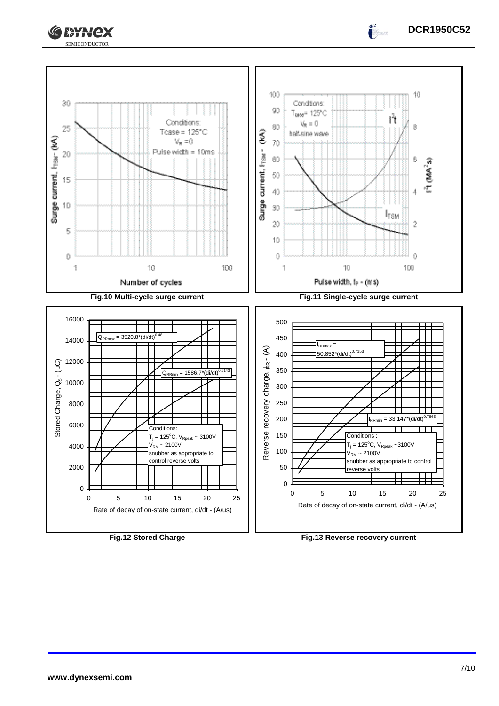



 $\int_0^2$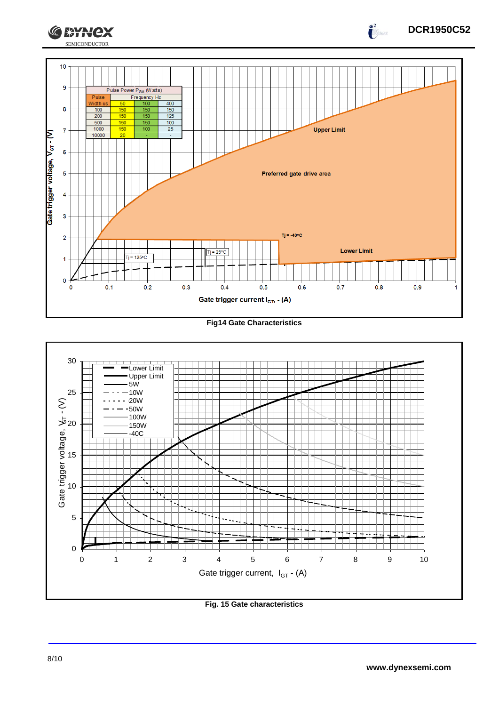

#### **Fig14 Gate Characteristics**



#### **Fig. 15 Gate characteristics**

**DCR1950C52**

 $\int_{0}^{2}$ 

**CEYNEX**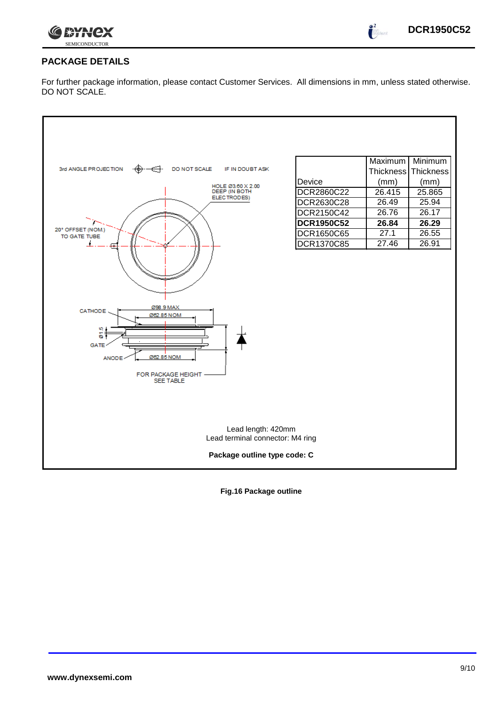

 $\int_0^2$ 

## **PACKAGE DETAILS**

For further package information, please contact Customer Services. All dimensions in mm, unless stated otherwise. DO NOT SCALE.



**Fig.16 Package outline**